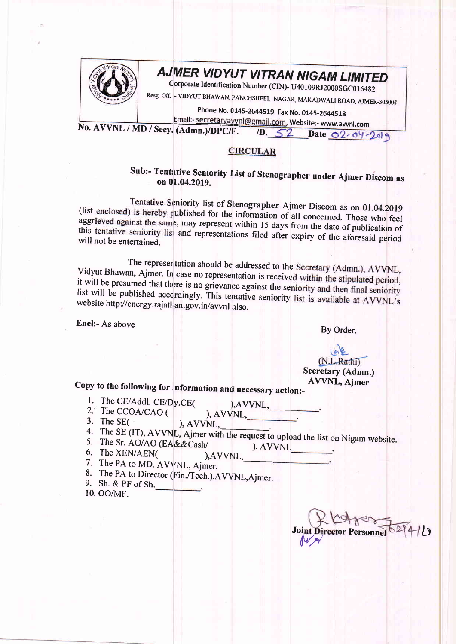

## **AJMER VIDYUT VITRAN NIGAM LIMITED**

Corporate Identification Number (CIN)- U40109RJ2000SGC016482

Resg. Off. - VIDYUT BHAWAN, PANCHSHEEL NAGAR, MAKADWALI ROAD, AJMER-305004

Phone No. 0145-2644519 Fax No. 0145-2644518

Email:- secretaryavvnl@gmail.com, Website:- www.avvnl.com No. AVVNL / MD / Secy. (Admn.)/DPC/F.  $D.52$ Date 02-04-2019

## **CIRCULAR**

## Sub:- Tentative Seniority List of Stenographer under Ajmer Discom as on 01.04.2019.

Tentative Seniority list of Stenographer Ajmer Discom as on 01.04.2019 (list enclosed) is hereby published for the information of all concerned. Those who feel aggrieved against the same, may represent within 15 days from the date of publication of this tentative seniority list and representations filed after expiry of the aforesaid period will not be entertained.

The representation should be addressed to the Secretary (Admn.), AVVNL, Vidyut Bhawan, Ajmer. In case no representation is received within the stipulated period, it will be presumed that there is no grievance against the seniority and then final seniority list will be published accordingly. This tentative seniority list is available at AVVNL's website http://energy.rajathan.gov.in/avvnl also.

Encl:- As above

By Order,

## (N.L.Rathi) Secretary (Admn.) **AVVNL, Ajmer**

Copy to the following for information and necessary action:-

- 1. The CE/Addl. CE/Dy.CE(
- ), AVVNL, 2. The CCOA/CAO ( ), AVVNL,
- 3. The SE $($
- 4. The SE (IT), AVVNL, Ajmer with the request to upload the list on Nigam website.
- 5. The Sr. AO/AO (EA&&Cash/
- ), AVVNL 6. The XEN/AEN( ), AVVNL,

 $AVVNL$ 

- 7. The PA to MD, AVVNL, Ajmer.
- 8. The PA to Director (Fin./Tech.), AVVNL, Ajmer.
- 9. Sh. & PF of Sh.
- 10. OO/MF.

**Joint Director Personne**